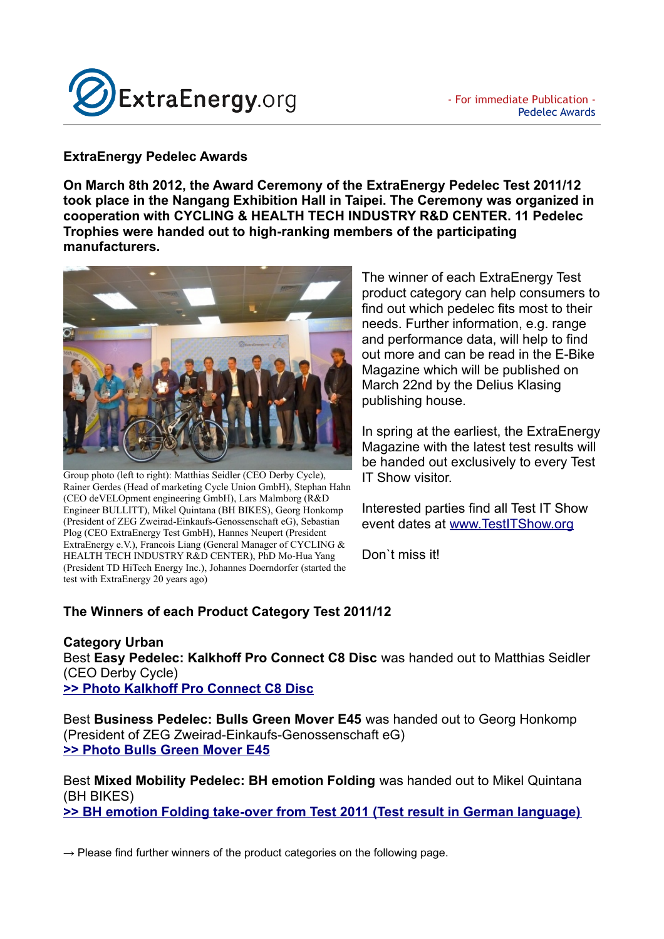

## **ExtraEnergy Pedelec Awards**

**On March 8th 2012, the Award Ceremony of the ExtraEnergy Pedelec Test 2011/12 took place in the Nangang Exhibition Hall in Taipei. The Ceremony was organized in cooperation with CYCLING & HEALTH TECH INDUSTRY R&D CENTER. 11 Pedelec Trophies were handed out to high-ranking members of the participating manufacturers.** 



Group photo (left to right): Matthias Seidler (CEO Derby Cycle), Rainer Gerdes (Head of marketing Cycle Union GmbH), Stephan Hahn (CEO deVELOpment engineering GmbH), Lars Malmborg (R&D Engineer BULLITT), Mikel Quintana (BH BIKES), Georg Honkomp (President of ZEG Zweirad-Einkaufs-Genossenschaft eG), Sebastian Plog (CEO ExtraEnergy Test GmbH), Hannes Neupert (President ExtraEnergy e.V.), Francois Liang (General Manager of CYCLING & HEALTH TECH INDUSTRY R&D CENTER), PhD Mo-Hua Yang (President TD HiTech Energy Inc.), Johannes Doerndorfer (started the test with ExtraEnergy 20 years ago)

The winner of each ExtraEnergy Test product category can help consumers to find out which pedelec fits most to their needs. Further information, e.g. range and performance data, will help to find out more and can be read in the E-Bike Magazine which will be published on March 22nd by the Delius Klasing publishing house.

In spring at the earliest, the ExtraEnergy Magazine with the latest test results will be handed out exclusively to every Test IT Show visitor.

Interested parties find all Test IT Show event dates at [www.TestITShow.org](http://www.TestITShow.org/) 

Don`t miss it!

## **The Winners of each Product Category Test 2011/12**

**Category Urban** Best **Easy Pedelec: Kalkhoff Pro Connect C8 Disc** was handed out to Matthias Seidler (CEO Derby Cycle) **[>> Photo Kalkhoff Pro Connect C8 Disc](http://alt.datei.cc/public/extraenergy/2011_12_Test/Testraeder/KalkhoffProConnectPanasonic.jpg)**

Best **Business Pedelec: Bulls Green Mover E45** was handed out to Georg Honkomp (President of ZEG Zweirad-Einkaufs-Genossenschaft eG) **[>> Photo Bulls Green Mover E45](http://alt.datei.cc/public/extraenergy/2011_12_Test/Testraeder/BullsGreenMoverE45.jpg)**

Best **Mixed Mobility Pedelec: BH emotion Folding** was handed out to Mikel Quintana (BH BIKES) **[>> BH emotion Folding take-over from Test 2011 \(Test result in German language\)](http://extraenergy.org/main.php?language=de&category=&subcateg=&id=16861)**

 $\rightarrow$  Please find further winners of the product categories on the following page.